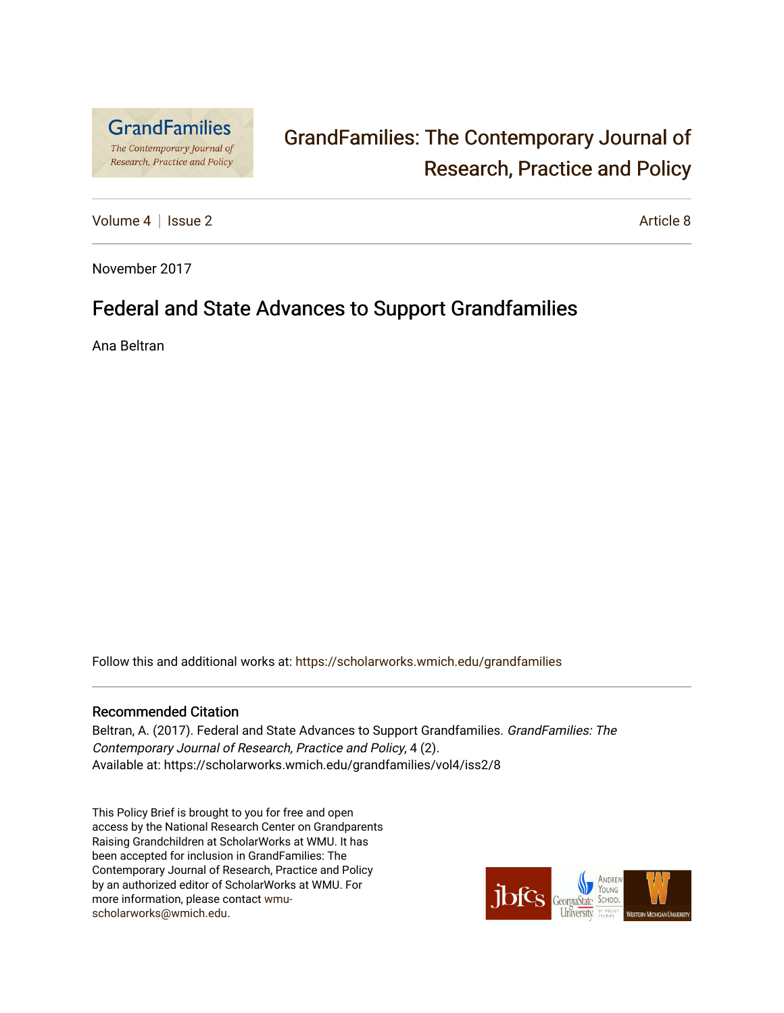

# [GrandFamilies: The Contemporary Journal of](https://scholarworks.wmich.edu/grandfamilies)  [Research, Practice and Policy](https://scholarworks.wmich.edu/grandfamilies)

[Volume 4](https://scholarworks.wmich.edu/grandfamilies/vol4) | [Issue 2](https://scholarworks.wmich.edu/grandfamilies/vol4/iss2) Article 8

November 2017

## Federal and State Advances to Support Grandfamilies

Ana Beltran

Follow this and additional works at: [https://scholarworks.wmich.edu/grandfamilies](https://scholarworks.wmich.edu/grandfamilies?utm_source=scholarworks.wmich.edu%2Fgrandfamilies%2Fvol4%2Fiss2%2F8&utm_medium=PDF&utm_campaign=PDFCoverPages)

#### Recommended Citation

Beltran, A. (2017). Federal and State Advances to Support Grandfamilies. GrandFamilies: The Contemporary Journal of Research, Practice and Policy, 4 (2). Available at: https://scholarworks.wmich.edu/grandfamilies/vol4/iss2/8

This Policy Brief is brought to you for free and open access by the National Research Center on Grandparents Raising Grandchildren at ScholarWorks at WMU. It has been accepted for inclusion in GrandFamilies: The Contemporary Journal of Research, Practice and Policy by an authorized editor of ScholarWorks at WMU. For more information, please contact [wmu](mailto:wmu-scholarworks@wmich.edu)[scholarworks@wmich.edu.](mailto:wmu-scholarworks@wmich.edu)

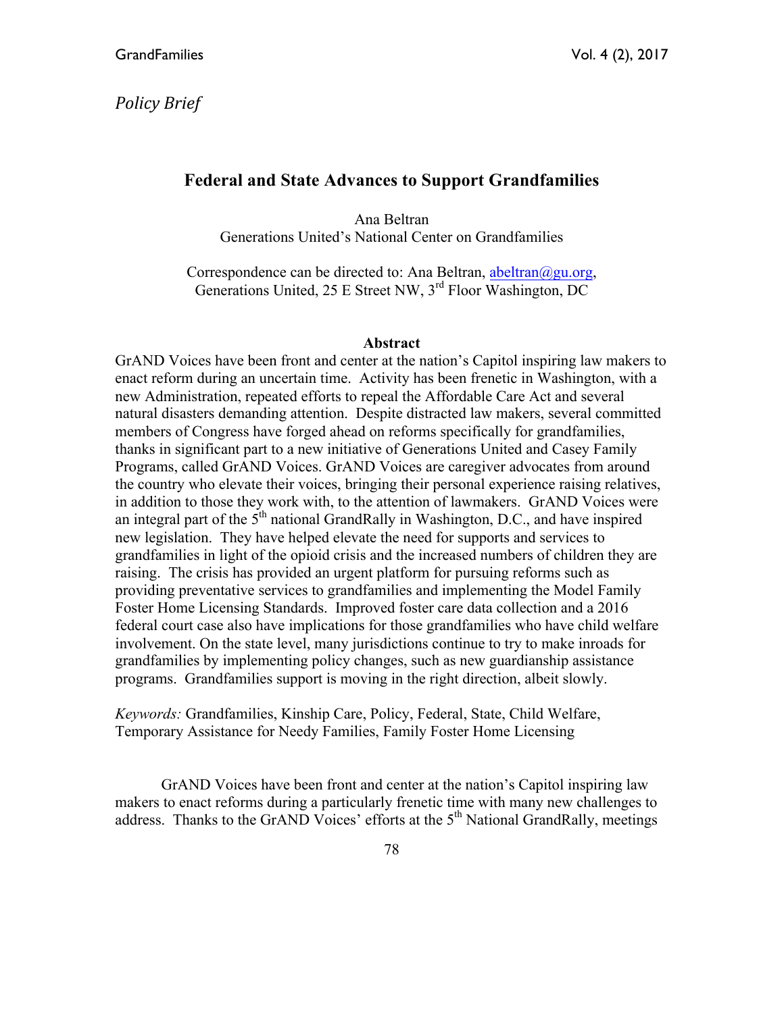## *Policy Brief*

## **Federal and State Advances to Support Grandfamilies**

Ana Beltran Generations United's National Center on Grandfamilies

Correspondence can be directed to: Ana Beltran, abeltran $\omega$ gu.org, Generations United, 25 E Street NW, 3<sup>rd</sup> Floor Washington, DC

#### **Abstract**

GrAND Voices have been front and center at the nation's Capitol inspiring law makers to enact reform during an uncertain time. Activity has been frenetic in Washington, with a new Administration, repeated efforts to repeal the Affordable Care Act and several natural disasters demanding attention. Despite distracted law makers, several committed members of Congress have forged ahead on reforms specifically for grandfamilies, thanks in significant part to a new initiative of Generations United and Casey Family Programs, called GrAND Voices. GrAND Voices are caregiver advocates from around the country who elevate their voices, bringing their personal experience raising relatives, in addition to those they work with, to the attention of lawmakers. GrAND Voices were an integral part of the  $5<sup>th</sup>$  national GrandRally in Washington, D.C., and have inspired new legislation. They have helped elevate the need for supports and services to grandfamilies in light of the opioid crisis and the increased numbers of children they are raising. The crisis has provided an urgent platform for pursuing reforms such as providing preventative services to grandfamilies and implementing the Model Family Foster Home Licensing Standards. Improved foster care data collection and a 2016 federal court case also have implications for those grandfamilies who have child welfare involvement. On the state level, many jurisdictions continue to try to make inroads for grandfamilies by implementing policy changes, such as new guardianship assistance programs. Grandfamilies support is moving in the right direction, albeit slowly.

*Keywords:* Grandfamilies, Kinship Care, Policy, Federal, State, Child Welfare, Temporary Assistance for Needy Families, Family Foster Home Licensing

GrAND Voices have been front and center at the nation's Capitol inspiring law makers to enact reforms during a particularly frenetic time with many new challenges to address. Thanks to the GrAND Voices' efforts at the  $5<sup>th</sup>$  National GrandRally, meetings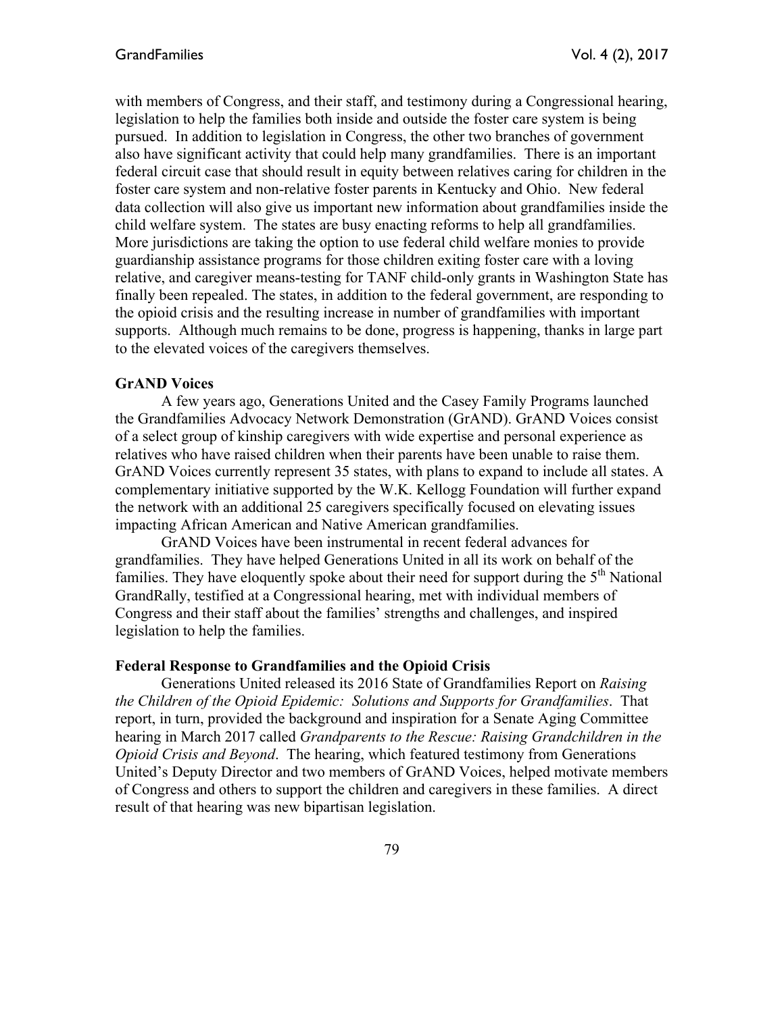with members of Congress, and their staff, and testimony during a Congressional hearing, legislation to help the families both inside and outside the foster care system is being pursued. In addition to legislation in Congress, the other two branches of government also have significant activity that could help many grandfamilies. There is an important federal circuit case that should result in equity between relatives caring for children in the foster care system and non-relative foster parents in Kentucky and Ohio. New federal data collection will also give us important new information about grandfamilies inside the child welfare system. The states are busy enacting reforms to help all grandfamilies. More jurisdictions are taking the option to use federal child welfare monies to provide guardianship assistance programs for those children exiting foster care with a loving relative, and caregiver means-testing for TANF child-only grants in Washington State has finally been repealed. The states, in addition to the federal government, are responding to the opioid crisis and the resulting increase in number of grandfamilies with important supports. Although much remains to be done, progress is happening, thanks in large part to the elevated voices of the caregivers themselves.

#### **GrAND Voices**

A few years ago, Generations United and the Casey Family Programs launched the Grandfamilies Advocacy Network Demonstration (GrAND). GrAND Voices consist of a select group of kinship caregivers with wide expertise and personal experience as relatives who have raised children when their parents have been unable to raise them. GrAND Voices currently represent 35 states, with plans to expand to include all states. A complementary initiative supported by the W.K. Kellogg Foundation will further expand the network with an additional 25 caregivers specifically focused on elevating issues impacting African American and Native American grandfamilies.

GrAND Voices have been instrumental in recent federal advances for grandfamilies. They have helped Generations United in all its work on behalf of the families. They have eloquently spoke about their need for support during the  $5<sup>th</sup>$  National GrandRally, testified at a Congressional hearing, met with individual members of Congress and their staff about the families' strengths and challenges, and inspired legislation to help the families.

#### **Federal Response to Grandfamilies and the Opioid Crisis**

Generations United released its 2016 State of Grandfamilies Report on *Raising the Children of the Opioid Epidemic: Solutions and Supports for Grandfamilies*. That report, in turn, provided the background and inspiration for a Senate Aging Committee hearing in March 2017 called *Grandparents to the Rescue: Raising Grandchildren in the Opioid Crisis and Beyond*. The hearing, which featured testimony from Generations United's Deputy Director and two members of GrAND Voices, helped motivate members of Congress and others to support the children and caregivers in these families. A direct result of that hearing was new bipartisan legislation.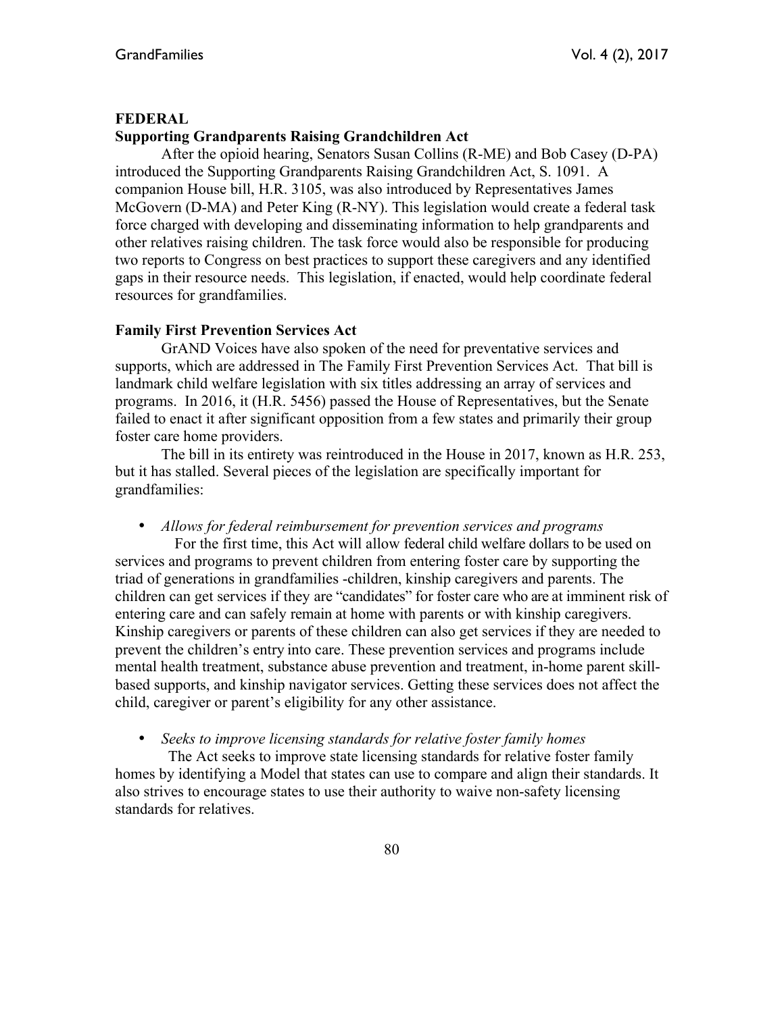#### **FEDERAL**

## **Supporting Grandparents Raising Grandchildren Act**

 After the opioid hearing, Senators Susan Collins (R-ME) and Bob Casey (D-PA) introduced the Supporting Grandparents Raising Grandchildren Act, S. 1091. A companion House bill, H.R. 3105, was also introduced by Representatives James McGovern (D-MA) and Peter King (R-NY). This legislation would create a federal task force charged with developing and disseminating information to help grandparents and other relatives raising children. The task force would also be responsible for producing two reports to Congress on best practices to support these caregivers and any identified gaps in their resource needs. This legislation, if enacted, would help coordinate federal resources for grandfamilies.

#### **Family First Prevention Services Act**

GrAND Voices have also spoken of the need for preventative services and supports, which are addressed in The Family First Prevention Services Act. That bill is landmark child welfare legislation with six titles addressing an array of services and programs. In 2016, it (H.R. 5456) passed the House of Representatives, but the Senate failed to enact it after significant opposition from a few states and primarily their group foster care home providers.

The bill in its entirety was reintroduced in the House in 2017, known as H.R. 253, but it has stalled. Several pieces of the legislation are specifically important for grandfamilies:

• *Allows for federal reimbursement for prevention services and programs*

For the first time, this Act will allow federal child welfare dollars to be used on services and programs to prevent children from entering foster care by supporting the triad of generations in grandfamilies -children, kinship caregivers and parents. The children can get services if they are "candidates" for foster care who are at imminent risk of entering care and can safely remain at home with parents or with kinship caregivers. Kinship caregivers or parents of these children can also get services if they are needed to prevent the children's entry into care. These prevention services and programs include mental health treatment, substance abuse prevention and treatment, in-home parent skillbased supports, and kinship navigator services. Getting these services does not affect the child, caregiver or parent's eligibility for any other assistance.

• *Seeks to improve licensing standards for relative foster family homes*

The Act seeks to improve state licensing standards for relative foster family homes by identifying a Model that states can use to compare and align their standards. It also strives to encourage states to use their authority to waive non-safety licensing standards for relatives.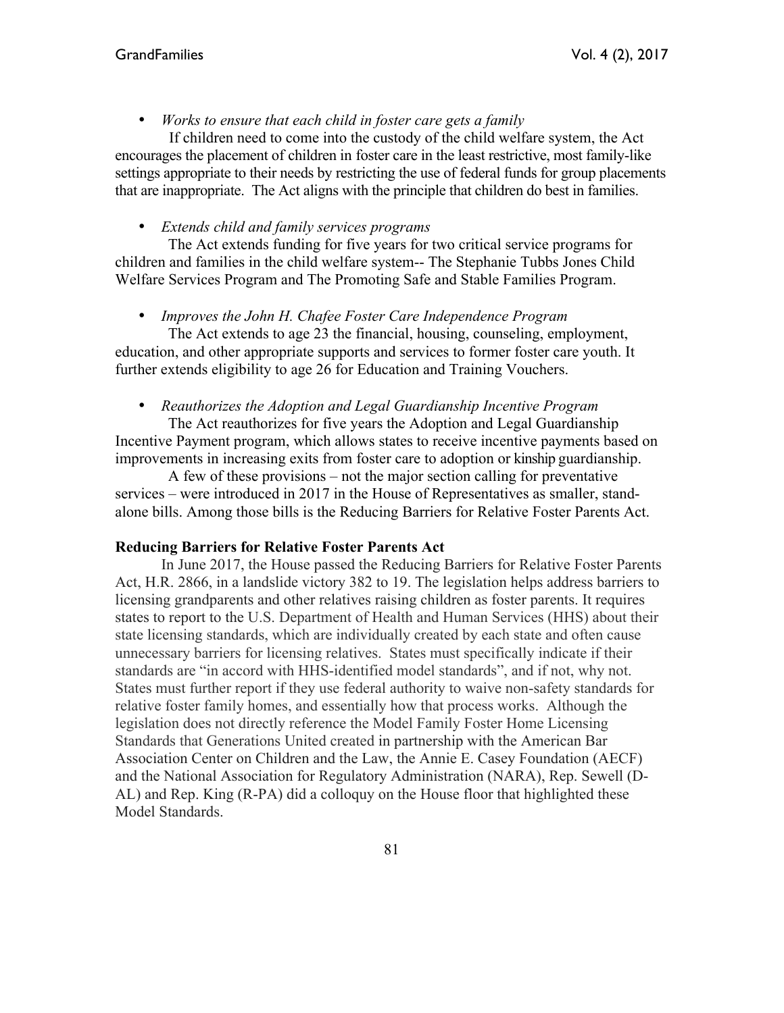• *Works to ensure that each child in foster care gets a family*

 If children need to come into the custody of the child welfare system, the Act encourages the placement of children in foster care in the least restrictive, most family-like settings appropriate to their needs by restricting the use of federal funds for group placements that are inappropriate. The Act aligns with the principle that children do best in families.

• *Extends child and family services programs* 

The Act extends funding for five years for two critical service programs for children and families in the child welfare system-- The Stephanie Tubbs Jones Child Welfare Services Program and The Promoting Safe and Stable Families Program.

## • *Improves the John H. Chafee Foster Care Independence Program*

The Act extends to age 23 the financial, housing, counseling, employment, education, and other appropriate supports and services to former foster care youth. It further extends eligibility to age 26 for Education and Training Vouchers.

• *Reauthorizes the Adoption and Legal Guardianship Incentive Program*

The Act reauthorizes for five years the Adoption and Legal Guardianship Incentive Payment program, which allows states to receive incentive payments based on improvements in increasing exits from foster care to adoption or kinship guardianship.

A few of these provisions – not the major section calling for preventative services – were introduced in 2017 in the House of Representatives as smaller, standalone bills. Among those bills is the Reducing Barriers for Relative Foster Parents Act.

#### **Reducing Barriers for Relative Foster Parents Act**

In June 2017, the House passed the Reducing Barriers for Relative Foster Parents Act, H.R. 2866, in a landslide victory 382 to 19. The legislation helps address barriers to licensing grandparents and other relatives raising children as foster parents. It requires states to report to the U.S. Department of Health and Human Services (HHS) about their state licensing standards, which are individually created by each state and often cause unnecessary barriers for licensing relatives. States must specifically indicate if their standards are "in accord with HHS-identified model standards", and if not, why not. States must further report if they use federal authority to waive non-safety standards for relative foster family homes, and essentially how that process works. Although the legislation does not directly reference the Model Family Foster Home Licensing Standards that Generations United created in partnership with the American Bar Association Center on Children and the Law, the Annie E. Casey Foundation (AECF) and the National Association for Regulatory Administration (NARA), Rep. Sewell (D-AL) and Rep. King (R-PA) did a colloquy on the House floor that highlighted these Model Standards.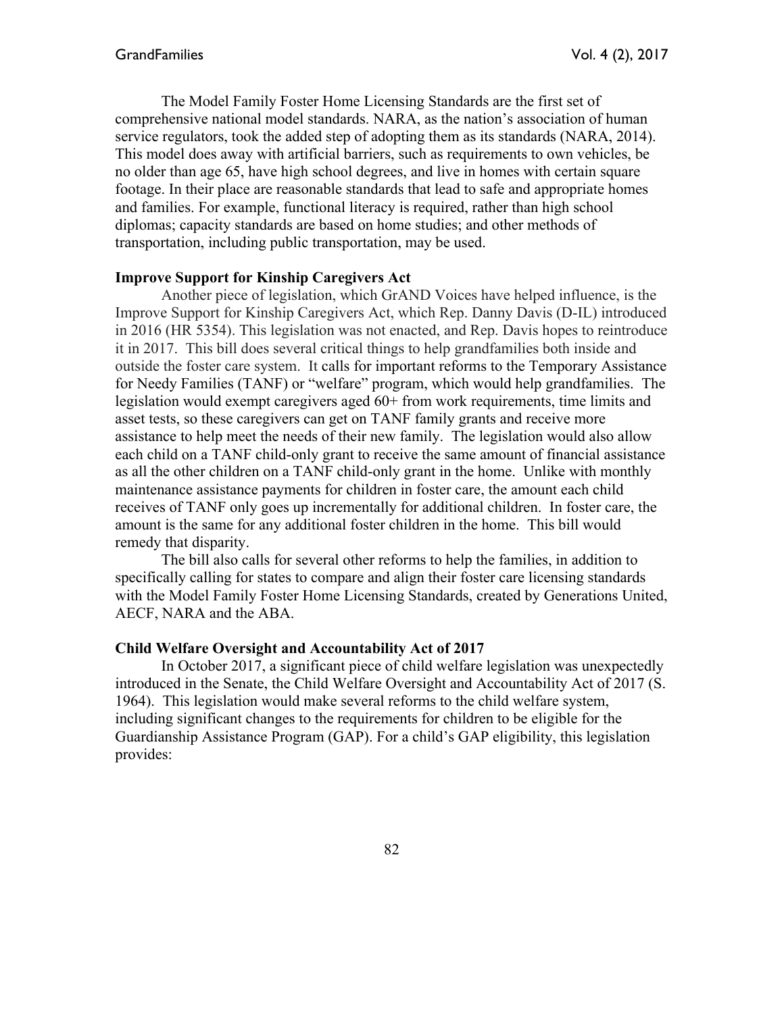The Model Family Foster Home Licensing Standards are the first set of comprehensive national model standards. NARA, as the nation's association of human service regulators, took the added step of adopting them as its standards (NARA, 2014). This model does away with artificial barriers, such as requirements to own vehicles, be no older than age 65, have high school degrees, and live in homes with certain square footage. In their place are reasonable standards that lead to safe and appropriate homes and families. For example, functional literacy is required, rather than high school diplomas; capacity standards are based on home studies; and other methods of transportation, including public transportation, may be used.

#### **Improve Support for Kinship Caregivers Act**

Another piece of legislation, which GrAND Voices have helped influence, is the Improve Support for Kinship Caregivers Act, which Rep. Danny Davis (D-IL) introduced in 2016 (HR 5354). This legislation was not enacted, and Rep. Davis hopes to reintroduce it in 2017. This bill does several critical things to help grandfamilies both inside and outside the foster care system. It calls for important reforms to the Temporary Assistance for Needy Families (TANF) or "welfare" program, which would help grandfamilies. The legislation would exempt caregivers aged 60+ from work requirements, time limits and asset tests, so these caregivers can get on TANF family grants and receive more assistance to help meet the needs of their new family. The legislation would also allow each child on a TANF child-only grant to receive the same amount of financial assistance as all the other children on a TANF child-only grant in the home. Unlike with monthly maintenance assistance payments for children in foster care, the amount each child receives of TANF only goes up incrementally for additional children. In foster care, the amount is the same for any additional foster children in the home. This bill would remedy that disparity.

The bill also calls for several other reforms to help the families, in addition to specifically calling for states to compare and align their foster care licensing standards with the Model Family Foster Home Licensing Standards, created by Generations United, AECF, NARA and the ABA.

#### **Child Welfare Oversight and Accountability Act of 2017**

In October 2017, a significant piece of child welfare legislation was unexpectedly introduced in the Senate, the Child Welfare Oversight and Accountability Act of 2017 (S. 1964). This legislation would make several reforms to the child welfare system, including significant changes to the requirements for children to be eligible for the Guardianship Assistance Program (GAP). For a child's GAP eligibility, this legislation provides: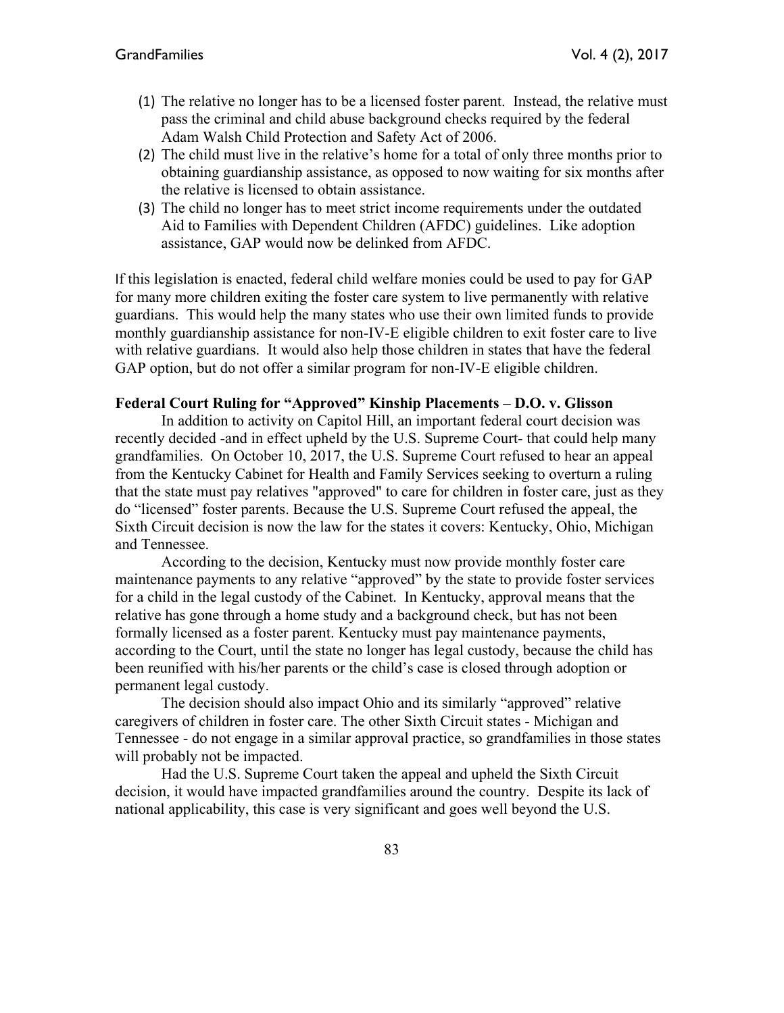- (1) The relative no longer has to be a licensed foster parent. Instead, the relative must pass the criminal and child abuse background checks required by the federal Adam Walsh Child Protection and Safety Act of 2006.
- (2) The child must live in the relative's home for a total of only three months prior to obtaining guardianship assistance, as opposed to now waiting for six months after the relative is licensed to obtain assistance.
- (3) The child no longer has to meet strict income requirements under the outdated Aid to Families with Dependent Children (AFDC) guidelines. Like adoption assistance, GAP would now be delinked from AFDC.

If this legislation is enacted, federal child welfare monies could be used to pay for GAP for many more children exiting the foster care system to live permanently with relative guardians. This would help the many states who use their own limited funds to provide monthly guardianship assistance for non-IV-E eligible children to exit foster care to live with relative guardians. It would also help those children in states that have the federal GAP option, but do not offer a similar program for non-IV-E eligible children.

## **Federal Court Ruling for "Approved" Kinship Placements – D.O. v. Glisson**

In addition to activity on Capitol Hill, an important federal court decision was recently decided -and in effect upheld by the U.S. Supreme Court- that could help many grandfamilies. On October 10, 2017, the U.S. Supreme Court refused to hear an appeal from the Kentucky Cabinet for Health and Family Services seeking to overturn a ruling that the state must pay relatives "approved" to care for children in foster care, just as they do "licensed" foster parents. Because the U.S. Supreme Court refused the appeal, the Sixth Circuit decision is now the law for the states it covers: Kentucky, Ohio, Michigan and Tennessee.

According to the decision, Kentucky must now provide monthly foster care maintenance payments to any relative "approved" by the state to provide foster services for a child in the legal custody of the Cabinet. In Kentucky, approval means that the relative has gone through a home study and a background check, but has not been formally licensed as a foster parent. Kentucky must pay maintenance payments, according to the Court, until the state no longer has legal custody, because the child has been reunified with his/her parents or the child's case is closed through adoption or permanent legal custody.

The decision should also impact Ohio and its similarly "approved" relative caregivers of children in foster care. The other Sixth Circuit states - Michigan and Tennessee - do not engage in a similar approval practice, so grandfamilies in those states will probably not be impacted.

Had the U.S. Supreme Court taken the appeal and upheld the Sixth Circuit decision, it would have impacted grandfamilies around the country. Despite its lack of national applicability, this case is very significant and goes well beyond the U.S.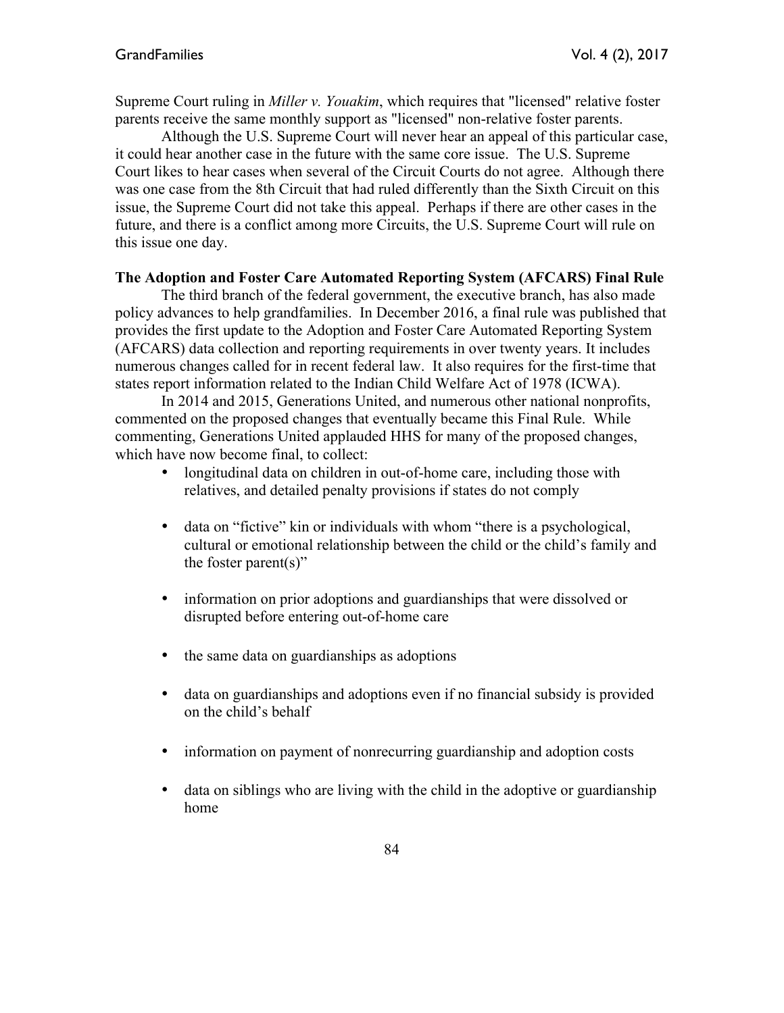Supreme Court ruling in *Miller v. Youakim*, which requires that "licensed" relative foster parents receive the same monthly support as "licensed" non-relative foster parents.

Although the U.S. Supreme Court will never hear an appeal of this particular case, it could hear another case in the future with the same core issue. The U.S. Supreme Court likes to hear cases when several of the Circuit Courts do not agree. Although there was one case from the 8th Circuit that had ruled differently than the Sixth Circuit on this issue, the Supreme Court did not take this appeal. Perhaps if there are other cases in the future, and there is a conflict among more Circuits, the U.S. Supreme Court will rule on this issue one day.

#### **The Adoption and Foster Care Automated Reporting System (AFCARS) Final Rule**

The third branch of the federal government, the executive branch, has also made policy advances to help grandfamilies. In December 2016, a final rule was published that provides the first update to the Adoption and Foster Care Automated Reporting System (AFCARS) data collection and reporting requirements in over twenty years. It includes numerous changes called for in recent federal law. It also requires for the first-time that states report information related to the Indian Child Welfare Act of 1978 (ICWA).

In 2014 and 2015, Generations United, and numerous other national nonprofits, commented on the proposed changes that eventually became this Final Rule. While commenting, Generations United applauded HHS for many of the proposed changes, which have now become final, to collect:

- longitudinal data on children in out-of-home care, including those with relatives, and detailed penalty provisions if states do not comply
- data on "fictive" kin or individuals with whom "there is a psychological, cultural or emotional relationship between the child or the child's family and the foster parent $(s)$ "
- information on prior adoptions and guardianships that were dissolved or disrupted before entering out-of-home care
- the same data on guardianships as adoptions
- data on guardianships and adoptions even if no financial subsidy is provided on the child's behalf
- information on payment of nonrecurring guardianship and adoption costs
- data on siblings who are living with the child in the adoptive or guardianship home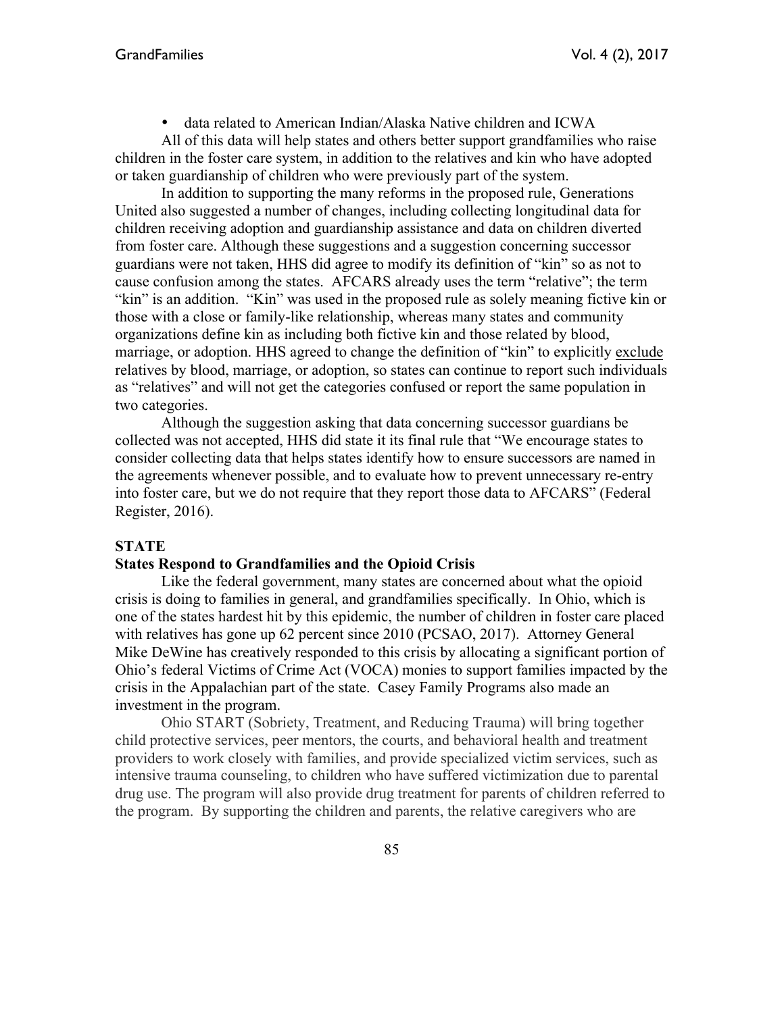• data related to American Indian/Alaska Native children and ICWA

All of this data will help states and others better support grandfamilies who raise children in the foster care system, in addition to the relatives and kin who have adopted or taken guardianship of children who were previously part of the system.

In addition to supporting the many reforms in the proposed rule, Generations United also suggested a number of changes, including collecting longitudinal data for children receiving adoption and guardianship assistance and data on children diverted from foster care. Although these suggestions and a suggestion concerning successor guardians were not taken, HHS did agree to modify its definition of "kin" so as not to cause confusion among the states. AFCARS already uses the term "relative"; the term "kin" is an addition. "Kin" was used in the proposed rule as solely meaning fictive kin or those with a close or family-like relationship, whereas many states and community organizations define kin as including both fictive kin and those related by blood, marriage, or adoption. HHS agreed to change the definition of "kin" to explicitly exclude relatives by blood, marriage, or adoption, so states can continue to report such individuals as "relatives" and will not get the categories confused or report the same population in two categories.

Although the suggestion asking that data concerning successor guardians be collected was not accepted, HHS did state it its final rule that "We encourage states to consider collecting data that helps states identify how to ensure successors are named in the agreements whenever possible, and to evaluate how to prevent unnecessary re-entry into foster care, but we do not require that they report those data to AFCARS" (Federal Register, 2016).

#### **STATE**

#### **States Respond to Grandfamilies and the Opioid Crisis**

Like the federal government, many states are concerned about what the opioid crisis is doing to families in general, and grandfamilies specifically. In Ohio, which is one of the states hardest hit by this epidemic, the number of children in foster care placed with relatives has gone up 62 percent since 2010 (PCSAO, 2017). Attorney General Mike DeWine has creatively responded to this crisis by allocating a significant portion of Ohio's federal Victims of Crime Act (VOCA) monies to support families impacted by the crisis in the Appalachian part of the state. Casey Family Programs also made an investment in the program.

Ohio START (Sobriety, Treatment, and Reducing Trauma) will bring together child protective services, peer mentors, the courts, and behavioral health and treatment providers to work closely with families, and provide specialized victim services, such as intensive trauma counseling, to children who have suffered victimization due to parental drug use. The program will also provide drug treatment for parents of children referred to the program. By supporting the children and parents, the relative caregivers who are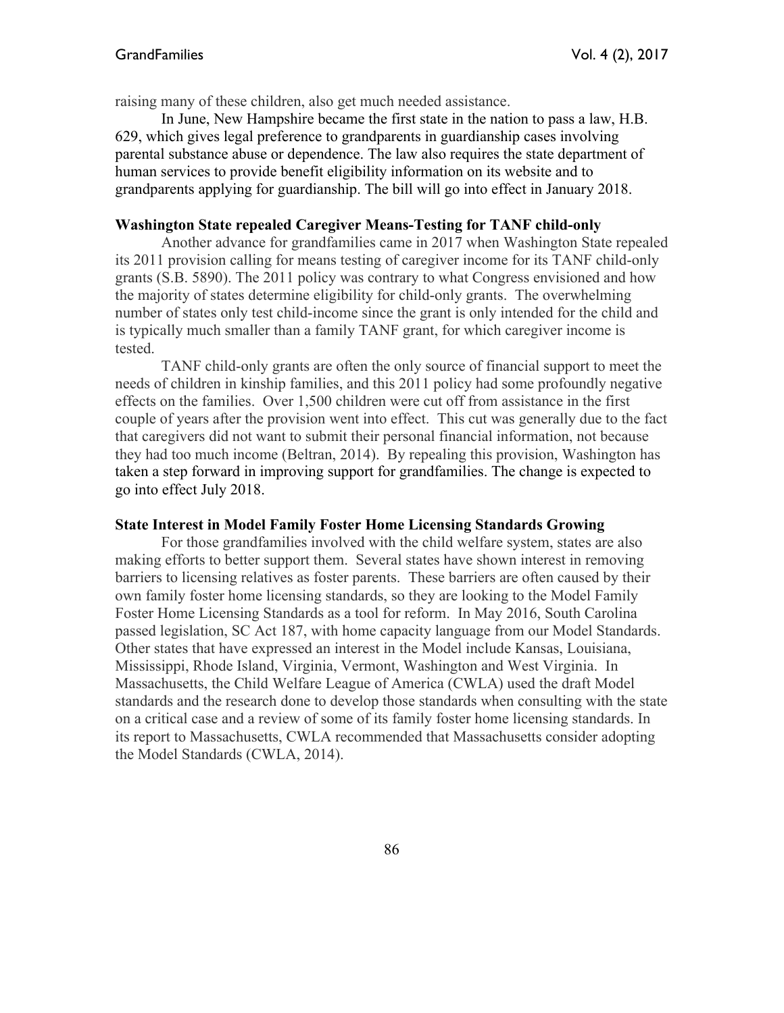raising many of these children, also get much needed assistance.

 In June, New Hampshire became the first state in the nation to pass a law, H.B. 629, which gives legal preference to grandparents in guardianship cases involving parental substance abuse or dependence. The law also requires the state department of human services to provide benefit eligibility information on its website and to grandparents applying for guardianship. The bill will go into effect in January 2018.

#### **Washington State repealed Caregiver Means-Testing for TANF child-only**

Another advance for grandfamilies came in 2017 when Washington State repealed its 2011 provision calling for means testing of caregiver income for its TANF child-only grants (S.B. 5890). The 2011 policy was contrary to what Congress envisioned and how the majority of states determine eligibility for child-only grants. The overwhelming number of states only test child-income since the grant is only intended for the child and is typically much smaller than a family TANF grant, for which caregiver income is tested.

TANF child-only grants are often the only source of financial support to meet the needs of children in kinship families, and this 2011 policy had some profoundly negative effects on the families. Over 1,500 children were cut off from assistance in the first couple of years after the provision went into effect. This cut was generally due to the fact that caregivers did not want to submit their personal financial information, not because they had too much income (Beltran, 2014). By repealing this provision, Washington has taken a step forward in improving support for grandfamilies. The change is expected to go into effect July 2018.

#### **State Interest in Model Family Foster Home Licensing Standards Growing**

For those grandfamilies involved with the child welfare system, states are also making efforts to better support them. Several states have shown interest in removing barriers to licensing relatives as foster parents. These barriers are often caused by their own family foster home licensing standards, so they are looking to the Model Family Foster Home Licensing Standards as a tool for reform. In May 2016, South Carolina passed legislation, SC Act 187, with home capacity language from our Model Standards. Other states that have expressed an interest in the Model include Kansas, Louisiana, Mississippi, Rhode Island, Virginia, Vermont, Washington and West Virginia. In Massachusetts, the Child Welfare League of America (CWLA) used the draft Model standards and the research done to develop those standards when consulting with the state on a critical case and a review of some of its family foster home licensing standards. In its report to Massachusetts, CWLA recommended that Massachusetts consider adopting the Model Standards (CWLA, 2014).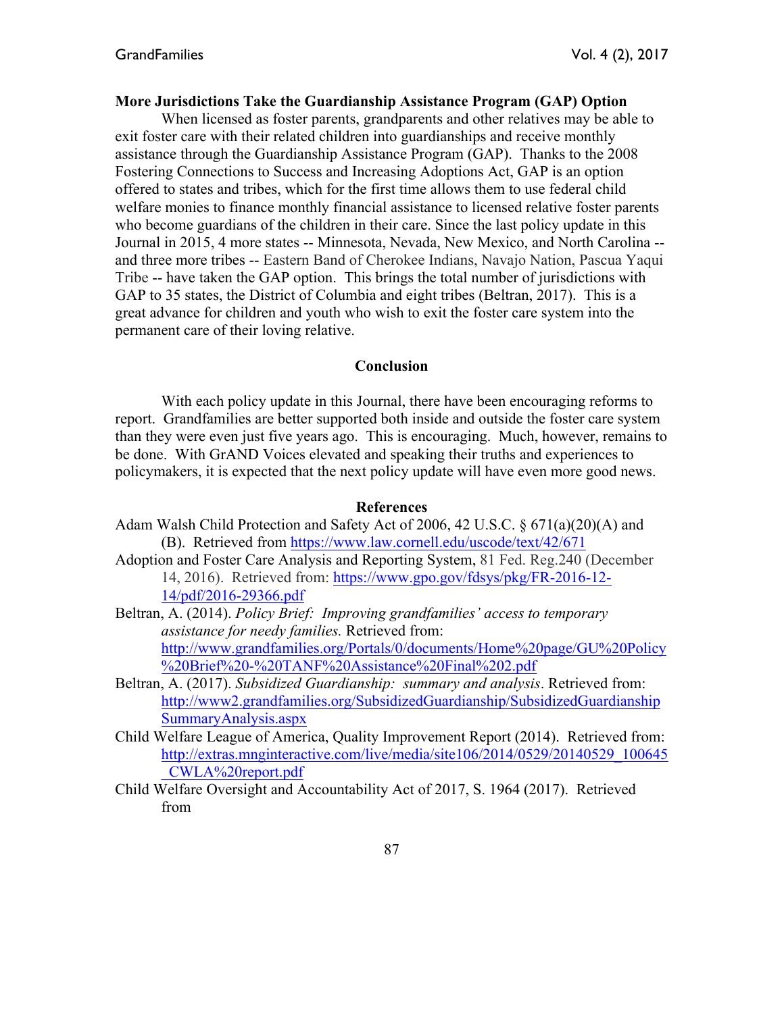#### **More Jurisdictions Take the Guardianship Assistance Program (GAP) Option**

When licensed as foster parents, grandparents and other relatives may be able to exit foster care with their related children into guardianships and receive monthly assistance through the Guardianship Assistance Program (GAP). Thanks to the 2008 Fostering Connections to Success and Increasing Adoptions Act, GAP is an option offered to states and tribes, which for the first time allows them to use federal child welfare monies to finance monthly financial assistance to licensed relative foster parents who become guardians of the children in their care. Since the last policy update in this Journal in 2015, 4 more states -- Minnesota, Nevada, New Mexico, and North Carolina - and three more tribes -- Eastern Band of Cherokee Indians, Navajo Nation, Pascua Yaqui Tribe -- have taken the GAP option. This brings the total number of jurisdictions with GAP to 35 states, the District of Columbia and eight tribes (Beltran, 2017). This is a great advance for children and youth who wish to exit the foster care system into the permanent care of their loving relative.

#### **Conclusion**

With each policy update in this Journal, there have been encouraging reforms to report. Grandfamilies are better supported both inside and outside the foster care system than they were even just five years ago. This is encouraging. Much, however, remains to be done. With GrAND Voices elevated and speaking their truths and experiences to policymakers, it is expected that the next policy update will have even more good news.

#### **References**

- Adam Walsh Child Protection and Safety Act of 2006, 42 U.S.C. § 671(a)(20)(A) and (B). Retrieved from https://www.law.cornell.edu/uscode/text/42/671
- Adoption and Foster Care Analysis and Reporting System, 81 Fed. Reg.240 (December 14, 2016). Retrieved from: https://www.gpo.gov/fdsys/pkg/FR-2016-12- 14/pdf/2016-29366.pdf
- Beltran, A. (2014). *Policy Brief: Improving grandfamilies' access to temporary assistance for needy families.* Retrieved from: http://www.grandfamilies.org/Portals/0/documents/Home%20page/GU%20Policy %20Brief%20-%20TANF%20Assistance%20Final%202.pdf
- Beltran, A. (2017). *Subsidized Guardianship: summary and analysis*. Retrieved from: http://www2.grandfamilies.org/SubsidizedGuardianship/SubsidizedGuardianship SummaryAnalysis.aspx
- Child Welfare League of America, Quality Improvement Report (2014). Retrieved from: http://extras.mnginteractive.com/live/media/site106/2014/0529/20140529\_100645 \_CWLA%20report.pdf
- Child Welfare Oversight and Accountability Act of 2017, S. 1964 (2017). Retrieved from